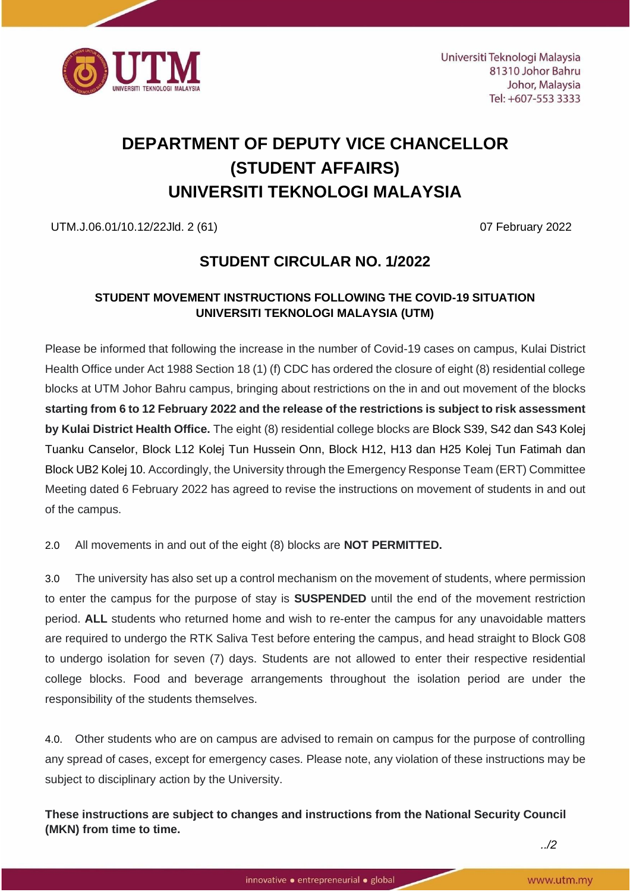

# **DEPARTMENT OF DEPUTY VICE CHANCELLOR (STUDENT AFFAIRS) UNIVERSITI TEKNOLOGI MALAYSIA**

UTM.J.06.01/10.12/22Jld. 2 (61) 07 February 2022

# **STUDENT CIRCULAR NO. 1/2022**

## **STUDENT MOVEMENT INSTRUCTIONS FOLLOWING THE COVID-19 SITUATION UNIVERSITI TEKNOLOGI MALAYSIA (UTM)**

Please be informed that following the increase in the number of Covid-19 cases on campus, Kulai District Health Office under Act 1988 Section 18 (1) (f) CDC has ordered the closure of eight (8) residential college blocks at UTM Johor Bahru campus, bringing about restrictions on the in and out movement of the blocks **starting from 6 to 12 February 2022 and the release of the restrictions is subject to risk assessment by Kulai District Health Office.** The eight (8) residential college blocks are Block S39, S42 dan S43 Kolej Tuanku Canselor, Block L12 Kolej Tun Hussein Onn, Block H12, H13 dan H25 Kolej Tun Fatimah dan Block UB2 Kolej 10. Accordingly, the University through the Emergency Response Team (ERT) Committee Meeting dated 6 February 2022 has agreed to revise the instructions on movement of students in and out of the campus.

2.0 All movements in and out of the eight (8) blocks are **NOT PERMITTED.**

3.0 The university has also set up a control mechanism on the movement of students, where permission to enter the campus for the purpose of stay is **SUSPENDED** until the end of the movement restriction period. **ALL** students who returned home and wish to re-enter the campus for any unavoidable matters are required to undergo the RTK Saliva Test before entering the campus, and head straight to Block G08 to undergo isolation for seven (7) days. Students are not allowed to enter their respective residential college blocks. Food and beverage arrangements throughout the isolation period are under the responsibility of the students themselves.

4.0. Other students who are on campus are advised to remain on campus for the purpose of controlling any spread of cases, except for emergency cases. Please note, any violation of these instructions may be subject to disciplinary action by the University.

**These instructions are subject to changes and instructions from the National Security Council (MKN) from time to time.**

*../2*